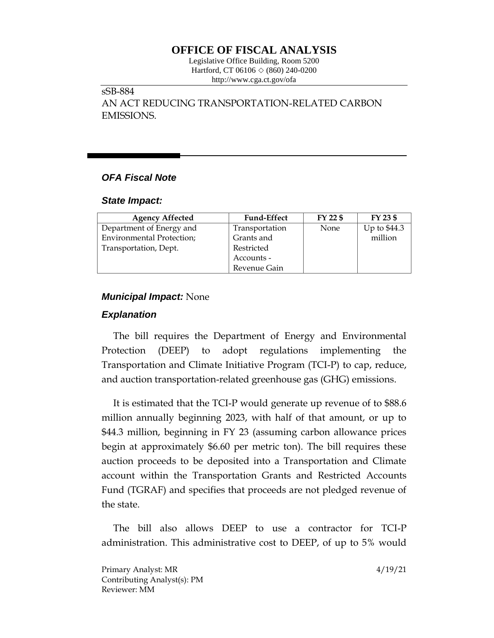# **OFFICE OF FISCAL ANALYSIS**

Legislative Office Building, Room 5200 Hartford, CT 06106 ◇ (860) 240-0200 http://www.cga.ct.gov/ofa

# sSB-884

AN ACT REDUCING TRANSPORTATION-RELATED CARBON EMISSIONS.

# *OFA Fiscal Note*

#### *State Impact:*

| <b>Agency Affected</b>           | <b>Fund-Effect</b> | FY 22 \$ | FY 23 \$     |
|----------------------------------|--------------------|----------|--------------|
| Department of Energy and         | Transportation     | None     | Up to \$44.3 |
| <b>Environmental Protection;</b> | Grants and         |          | million      |
| Transportation, Dept.            | Restricted         |          |              |
|                                  | Accounts -         |          |              |
|                                  | Revenue Gain       |          |              |

#### *Municipal Impact:* None

## *Explanation*

The bill requires the Department of Energy and Environmental Protection (DEEP) to adopt regulations implementing the Transportation and Climate Initiative Program (TCI-P) to cap, reduce, and auction transportation-related greenhouse gas (GHG) emissions.

It is estimated that the TCI-P would generate up revenue of to \$88.6 million annually beginning 2023, with half of that amount, or up to \$44.3 million, beginning in FY 23 (assuming carbon allowance prices begin at approximately \$6.60 per metric ton). The bill requires these auction proceeds to be deposited into a Transportation and Climate account within the Transportation Grants and Restricted Accounts Fund (TGRAF) and specifies that proceeds are not pledged revenue of the state.

The bill also allows DEEP to use a contractor for TCI-P administration. This administrative cost to DEEP, of up to 5% would